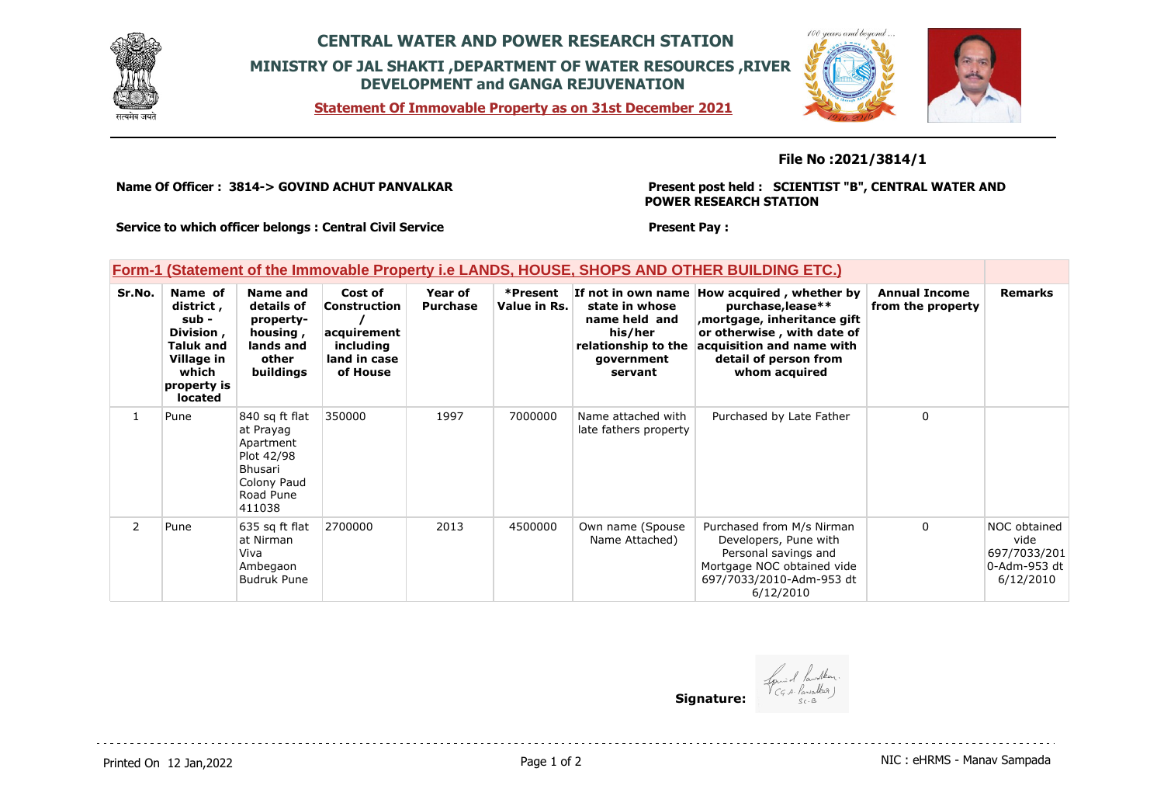

## **CENTRAL WATER AND POWER RESEARCH STATION MINISTRY OF JAL SHAKTI ,DEPARTMENT OF WATER RESOURCES ,RIVER DEVELOPMENT and GANGA REJUVENATION**

**Statement Of Immovable Property as on 31st December 2021**



## **File No :2021/3814/1**

**Name Of Officer : 3814-> GOVIND ACHUT PANVALKAR** 

**Present post held : SCIENTIST "B", CENTRAL WATER AND POWER RESEARCH STATION**

**Service to which officer belongs : Central Civil Service**

#### **Present Pay :**

## **Form-1 (Statement of the Immovable Property i.e LANDS, HOUSE, SHOPS AND OTHER BUILDING ETC.)**

| Sr.No. | Name of<br>district,<br>sub -<br>Division,<br><b>Taluk and</b><br>Village in<br>which<br>property is<br>located | Name and<br>details of<br>property-<br>housing,<br>lands and<br>other<br>buildings                             | Cost of<br>Construction<br>acquirement<br>including<br>land in case<br>of House | Year of<br><b>Purchase</b> | *Present<br>Value in Rs. | state in whose<br>name held and<br>his/her<br>relationship to the<br>government<br>servant | If not in own name How acquired, whether by<br>purchase, lease**<br>mortgage, inheritance gift,<br>or otherwise, with date of<br>acquisition and name with<br>detail of person from<br>whom acquired | <b>Annual Income</b><br>from the property | <b>Remarks</b>                                                    |
|--------|-----------------------------------------------------------------------------------------------------------------|----------------------------------------------------------------------------------------------------------------|---------------------------------------------------------------------------------|----------------------------|--------------------------|--------------------------------------------------------------------------------------------|------------------------------------------------------------------------------------------------------------------------------------------------------------------------------------------------------|-------------------------------------------|-------------------------------------------------------------------|
| 1      | Pune                                                                                                            | 840 sq ft flat<br>at Prayag<br>Apartment<br>Plot 42/98<br><b>Bhusari</b><br>Colony Paud<br>Road Pune<br>411038 | 350000                                                                          | 1997                       | 7000000                  | Name attached with<br>late fathers property                                                | Purchased by Late Father                                                                                                                                                                             | 0                                         |                                                                   |
| 2      | Pune                                                                                                            | 635 sq ft flat<br>at Nirman<br>Viva<br>Ambegaon<br><b>Budruk Pune</b>                                          | 2700000                                                                         | 2013                       | 4500000                  | Own name (Spouse<br>Name Attached)                                                         | Purchased from M/s Nirman<br>Developers, Pune with<br>Personal savings and<br>Mortgage NOC obtained vide<br>697/7033/2010-Adm-953 dt<br>6/12/2010                                                    | $\Omega$                                  | NOC obtained<br>vide<br>697/7033/201<br>0-Adm-953 dt<br>6/12/2010 |

**Signature:**